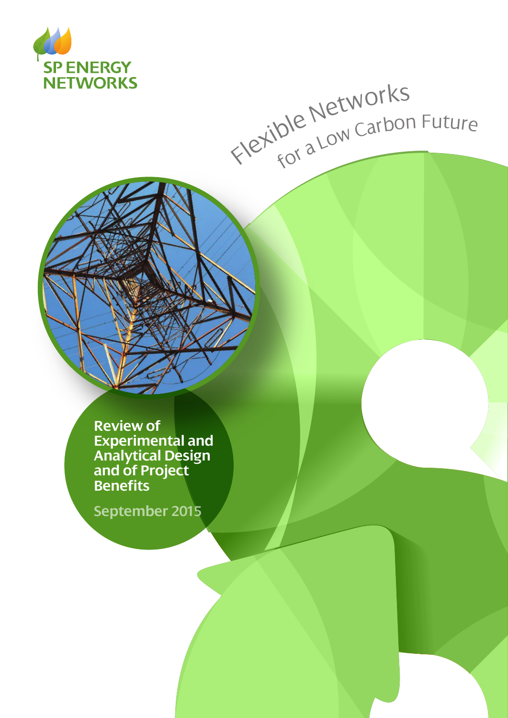

# Flexible Networks<br>Flexible Networks

**Review of Experimental and Analytical Design and of Project Benefits**

**September 2015**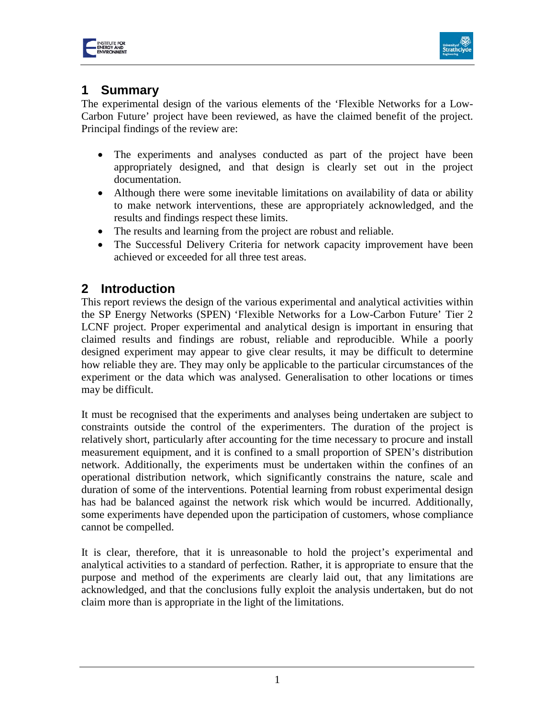



# **1 Summary**

The experimental design of the various elements of the 'Flexible Networks for a Low-Carbon Future' project have been reviewed, as have the claimed benefit of the project. Principal findings of the review are:

- The experiments and analyses conducted as part of the project have been appropriately designed, and that design is clearly set out in the project documentation.
- Although there were some inevitable limitations on availability of data or ability to make network interventions, these are appropriately acknowledged, and the results and findings respect these limits.
- The results and learning from the project are robust and reliable.
- The Successful Delivery Criteria for network capacity improvement have been achieved or exceeded for all three test areas.

## **2 Introduction**

This report reviews the design of the various experimental and analytical activities within the SP Energy Networks (SPEN) 'Flexible Networks for a Low-Carbon Future' Tier 2 LCNF project. Proper experimental and analytical design is important in ensuring that claimed results and findings are robust, reliable and reproducible. While a poorly designed experiment may appear to give clear results, it may be difficult to determine how reliable they are. They may only be applicable to the particular circumstances of the experiment or the data which was analysed. Generalisation to other locations or times may be difficult.

It must be recognised that the experiments and analyses being undertaken are subject to constraints outside the control of the experimenters. The duration of the project is relatively short, particularly after accounting for the time necessary to procure and install measurement equipment, and it is confined to a small proportion of SPEN's distribution network. Additionally, the experiments must be undertaken within the confines of an operational distribution network, which significantly constrains the nature, scale and duration of some of the interventions. Potential learning from robust experimental design has had be balanced against the network risk which would be incurred. Additionally, some experiments have depended upon the participation of customers, whose compliance cannot be compelled.

It is clear, therefore, that it is unreasonable to hold the project's experimental and analytical activities to a standard of perfection. Rather, it is appropriate to ensure that the purpose and method of the experiments are clearly laid out, that any limitations are acknowledged, and that the conclusions fully exploit the analysis undertaken, but do not claim more than is appropriate in the light of the limitations.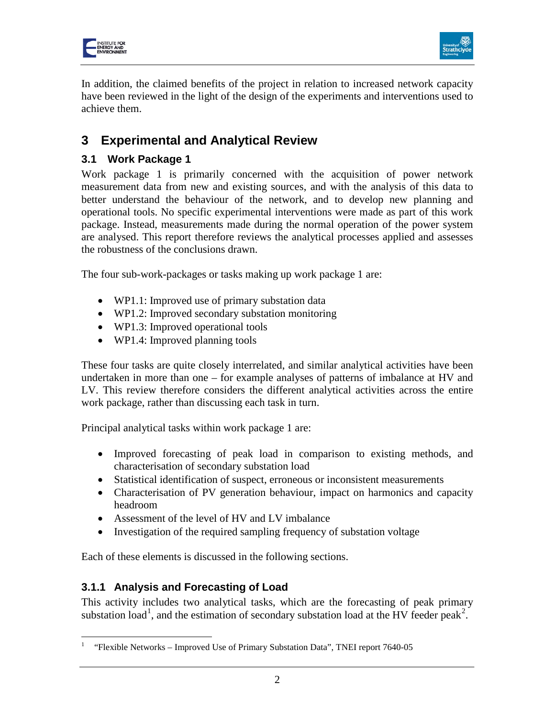



In addition, the claimed benefits of the project in relation to increased network capacity have been reviewed in the light of the design of the experiments and interventions used to achieve them.

# **3 Experimental and Analytical Review**

### **3.1 Work Package 1**

Work package 1 is primarily concerned with the acquisition of power network measurement data from new and existing sources, and with the analysis of this data to better understand the behaviour of the network, and to develop new planning and operational tools. No specific experimental interventions were made as part of this work package. Instead, measurements made during the normal operation of the power system are analysed. This report therefore reviews the analytical processes applied and assesses the robustness of the conclusions drawn.

The four sub-work-packages or tasks making up work package 1 are:

- WP1.1: Improved use of primary substation data
- WP1.2: Improved secondary substation monitoring
- WP1.3: Improved operational tools
- WP1.4: Improved planning tools

These four tasks are quite closely interrelated, and similar analytical activities have been undertaken in more than one – for example analyses of patterns of imbalance at HV and LV. This review therefore considers the different analytical activities across the entire work package, rather than discussing each task in turn.

Principal analytical tasks within work package 1 are:

- Improved forecasting of peak load in comparison to existing methods, and characterisation of secondary substation load
- Statistical identification of suspect, erroneous or inconsistent measurements
- Characterisation of PV generation behaviour, impact on harmonics and capacity headroom
- Assessment of the level of HV and LV imbalance
- Investigation of the required sampling frequency of substation voltage

Each of these elements is discussed in the following sections.

#### **3.1.1 Analysis and Forecasting of Load**

 $\overline{a}$ 

<span id="page-2-1"></span>This activity includes two analytical tasks, which are the forecasting of peak primary substation load<sup>[1](#page-2-0)</sup>, and the estimation of secondary substation load at the HV feeder peak<sup>[2](#page-2-1)</sup>.

<span id="page-2-0"></span><sup>1</sup> "Flexible Networks – Improved Use of Primary Substation Data", TNEI report 7640-05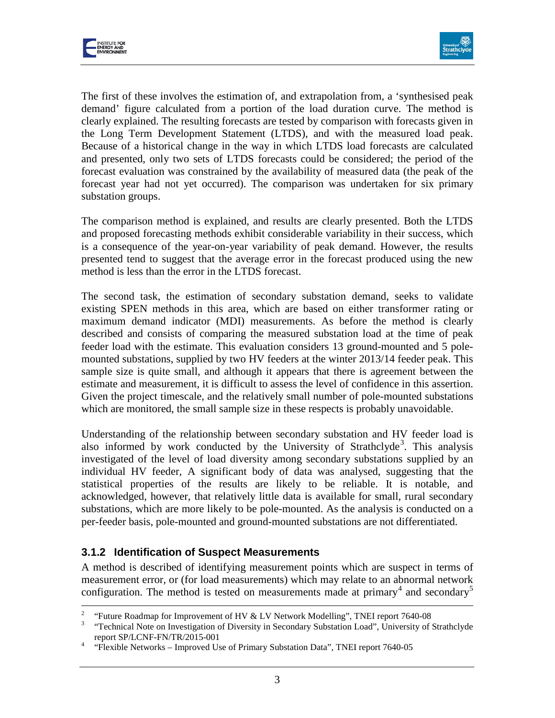



The first of these involves the estimation of, and extrapolation from, a 'synthesised peak demand' figure calculated from a portion of the load duration curve. The method is clearly explained. The resulting forecasts are tested by comparison with forecasts given in the Long Term Development Statement (LTDS), and with the measured load peak. Because of a historical change in the way in which LTDS load forecasts are calculated and presented, only two sets of LTDS forecasts could be considered; the period of the forecast evaluation was constrained by the availability of measured data (the peak of the forecast year had not yet occurred). The comparison was undertaken for six primary substation groups.

The comparison method is explained, and results are clearly presented. Both the LTDS and proposed forecasting methods exhibit considerable variability in their success, which is a consequence of the year-on-year variability of peak demand. However, the results presented tend to suggest that the average error in the forecast produced using the new method is less than the error in the LTDS forecast.

The second task, the estimation of secondary substation demand, seeks to validate existing SPEN methods in this area, which are based on either transformer rating or maximum demand indicator (MDI) measurements. As before the method is clearly described and consists of comparing the measured substation load at the time of peak feeder load with the estimate. This evaluation considers 13 ground-mounted and 5 polemounted substations, supplied by two HV feeders at the winter 2013/14 feeder peak. This sample size is quite small, and although it appears that there is agreement between the estimate and measurement, it is difficult to assess the level of confidence in this assertion. Given the project timescale, and the relatively small number of pole-mounted substations which are monitored, the small sample size in these respects is probably unavoidable.

Understanding of the relationship between secondary substation and HV feeder load is also informed by work conducted by the University of Strathclyde<sup>[3](#page-3-0)</sup>. This analysis investigated of the level of load diversity among secondary substations supplied by an individual HV feeder, A significant body of data was analysed, suggesting that the statistical properties of the results are likely to be reliable. It is notable, and acknowledged, however, that relatively little data is available for small, rural secondary substations, which are more likely to be pole-mounted. As the analysis is conducted on a per-feeder basis, pole-mounted and ground-mounted substations are not differentiated.

#### **3.1.2 Identification of Suspect Measurements**

<span id="page-3-2"></span>A method is described of identifying measurement points which are suspect in terms of measurement error, or (for load measurements) which may relate to an abnormal network configuration. The method is tested on measurements made at primary<sup>[4](#page-3-1)</sup> and secondary<sup>[5](#page-3-2)</sup>

 $\sqrt{2}$ 

<span id="page-3-0"></span><sup>&</sup>lt;sup>2</sup> "Future Roadmap for Improvement of HV & LV Network Modelling", TNEI report 7640-08<br><sup>3</sup> "Technical Note on Investigation of Diversity in Secondary Substation Load", University of Strathclyde report SP/LCNF-FN/TR/2015-001<br>
"Flexible Networks – Improved Use of Primary Substation Data", TNEI report 7640-05

<span id="page-3-1"></span>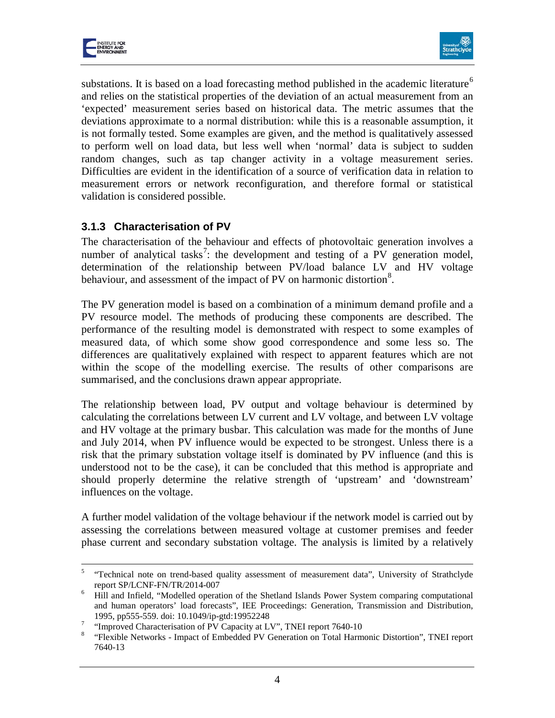



substations. It is based on a load forecasting method published in the academic literature<sup>[6](#page-4-0)</sup> and relies on the statistical properties of the deviation of an actual measurement from an 'expected' measurement series based on historical data. The metric assumes that the deviations approximate to a normal distribution: while this is a reasonable assumption, it is not formally tested. Some examples are given, and the method is qualitatively assessed to perform well on load data, but less well when 'normal' data is subject to sudden random changes, such as tap changer activity in a voltage measurement series. Difficulties are evident in the identification of a source of verification data in relation to measurement errors or network reconfiguration, and therefore formal or statistical validation is considered possible.

#### **3.1.3 Characterisation of PV**

The characterisation of the behaviour and effects of photovoltaic generation involves a number of analytical tasks<sup>[7](#page-4-1)</sup>: the development and testing of a PV generation model, determination of the relationship between PV/load balance LV and HV voltage behaviour, and assessment of the impact of PV on harmonic distortion<sup>[8](#page-4-2)</sup>.

The PV generation model is based on a combination of a minimum demand profile and a PV resource model. The methods of producing these components are described. The performance of the resulting model is demonstrated with respect to some examples of measured data, of which some show good correspondence and some less so. The differences are qualitatively explained with respect to apparent features which are not within the scope of the modelling exercise. The results of other comparisons are summarised, and the conclusions drawn appear appropriate.

The relationship between load, PV output and voltage behaviour is determined by calculating the correlations between LV current and LV voltage, and between LV voltage and HV voltage at the primary busbar. This calculation was made for the months of June and July 2014, when PV influence would be expected to be strongest. Unless there is a risk that the primary substation voltage itself is dominated by PV influence (and this is understood not to be the case), it can be concluded that this method is appropriate and should properly determine the relative strength of 'upstream' and 'downstream' influences on the voltage.

A further model validation of the voltage behaviour if the network model is carried out by assessing the correlations between measured voltage at customer premises and feeder phase current and secondary substation voltage. The analysis is limited by a relatively

<sup>5</sup> "Technical note on trend-based quality assessment of measurement data", University of Strathclyde report SP/LCNF-FN/TR/2014-007<br><sup>6</sup> Hill and Infield, "Modelled operation of the Shetland Islands Power System comparing computational 5

<span id="page-4-0"></span>and human operators' load forecasts", IEE Proceedings: Generation, Transmission and Distribution, 1995, pp555-559. doi: 10.1049/ip-gtd:19952248<br>
<sup>7</sup> "Improved Characterisation of PV Capacity at LV", TNEI report 7640-10<br>
<sup>8</sup> "Flexible Networks - Impact of Embedded PV Generation on Total Harmonic Distortion", TNEI report

<span id="page-4-2"></span><span id="page-4-1"></span>

<sup>7640-13</sup>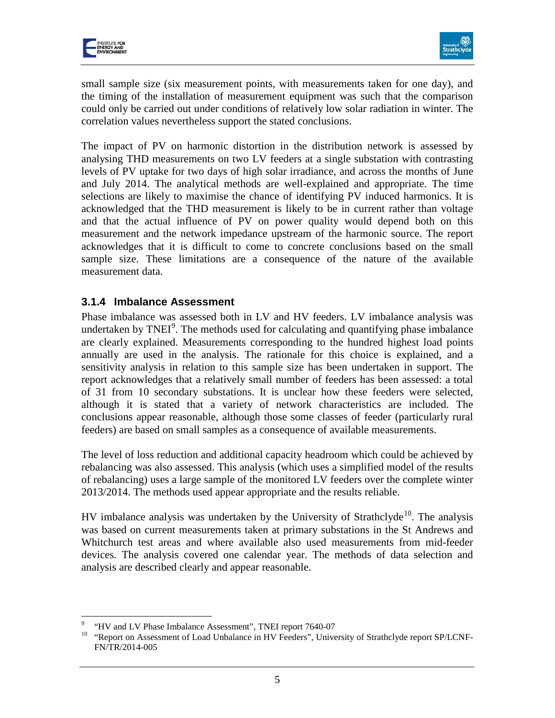



small sample size (six measurement points, with measurements taken for one day), and the timing of the installation of measurement equipment was such that the comparison could only be carried out under conditions of relatively low solar radiation in winter. The correlation values nevertheless support the stated conclusions.

The impact of PV on harmonic distortion in the distribution network is assessed by analysing THD measurements on two LV feeders at a single substation with contrasting levels of PV uptake for two days of high solar irradiance, and across the months of June and July 2014. The analytical methods are well-explained and appropriate. The time selections are likely to maximise the chance of identifying PV induced harmonics. It is acknowledged that the THD measurement is likely to be in current rather than voltage and that the actual influence of PV on power quality would depend both on this measurement and the network impedance upstream of the harmonic source. The report acknowledges that it is difficult to come to concrete conclusions based on the small sample size. These limitations are a consequence of the nature of the available measurement data.

#### **3.1.4 Imbalance Assessment**

Phase imbalance was assessed both in LV and HV feeders. LV imbalance analysis was undertaken by  $TNEI<sup>9</sup>$  $TNEI<sup>9</sup>$  $TNEI<sup>9</sup>$ . The methods used for calculating and quantifying phase imbalance are clearly explained. Measurements corresponding to the hundred highest load points annually are used in the analysis. The rationale for this choice is explained, and a sensitivity analysis in relation to this sample size has been undertaken in support. The report acknowledges that a relatively small number of feeders has been assessed: a total of 31 from 10 secondary substations. It is unclear how these feeders were selected, although it is stated that a variety of network characteristics are included. The conclusions appear reasonable, although those some classes of feeder (particularly rural feeders) are based on small samples as a consequence of available measurements.

The level of loss reduction and additional capacity headroom which could be achieved by rebalancing was also assessed. This analysis (which uses a simplified model of the results of rebalancing) uses a large sample of the monitored LV feeders over the complete winter 2013/2014. The methods used appear appropriate and the results reliable.

HV imbalance analysis was undertaken by the University of Strathclyde<sup>[10](#page-5-1)</sup>. The analysis was based on current measurements taken at primary substations in the St Andrews and Whitchurch test areas and where available also used measurements from mid-feeder devices. The analysis covered one calendar year. The methods of data selection and analysis are described clearly and appear reasonable.

 $\overline{a}$ 

<span id="page-5-1"></span><span id="page-5-0"></span><sup>&</sup>lt;sup>9</sup> "HV and LV Phase Imbalance Assessment", TNEI report 7640-07<br><sup>10</sup> "Report on Assessment of Load Unbalance in HV Feeders", University of Strathclyde report SP/LCNF-FN/TR/2014-005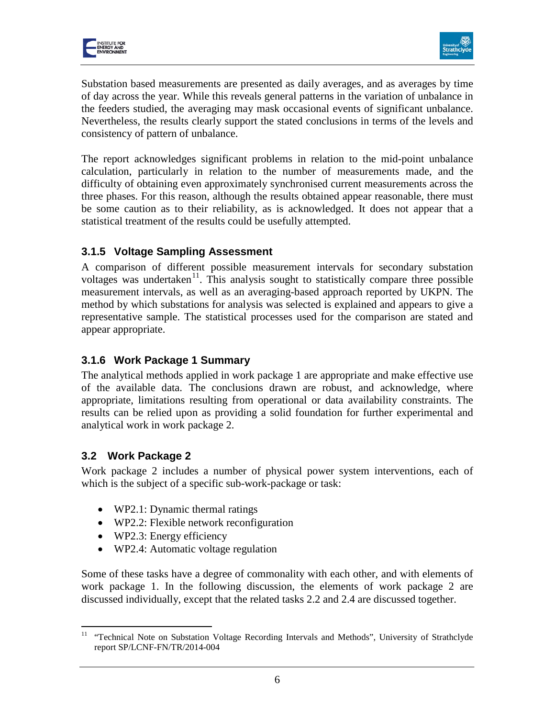



Substation based measurements are presented as daily averages, and as averages by time of day across the year. While this reveals general patterns in the variation of unbalance in the feeders studied, the averaging may mask occasional events of significant unbalance. Nevertheless, the results clearly support the stated conclusions in terms of the levels and consistency of pattern of unbalance.

The report acknowledges significant problems in relation to the mid-point unbalance calculation, particularly in relation to the number of measurements made, and the difficulty of obtaining even approximately synchronised current measurements across the three phases. For this reason, although the results obtained appear reasonable, there must be some caution as to their reliability, as is acknowledged. It does not appear that a statistical treatment of the results could be usefully attempted.

#### **3.1.5 Voltage Sampling Assessment**

A comparison of different possible measurement intervals for secondary substation voltages was undertaken<sup>[11](#page-6-0)</sup>. This analysis sought to statistically compare three possible measurement intervals, as well as an averaging-based approach reported by UKPN. The method by which substations for analysis was selected is explained and appears to give a representative sample. The statistical processes used for the comparison are stated and appear appropriate.

#### **3.1.6 Work Package 1 Summary**

The analytical methods applied in work package 1 are appropriate and make effective use of the available data. The conclusions drawn are robust, and acknowledge, where appropriate, limitations resulting from operational or data availability constraints. The results can be relied upon as providing a solid foundation for further experimental and analytical work in work package 2.

#### **3.2 Work Package 2**

Work package 2 includes a number of physical power system interventions, each of which is the subject of a specific sub-work-package or task:

- WP2.1: Dynamic thermal ratings
- WP2.2: Flexible network reconfiguration
- WP2.3: Energy efficiency
- WP2.4: Automatic voltage regulation

Some of these tasks have a degree of commonality with each other, and with elements of work package 1. In the following discussion, the elements of work package 2 are discussed individually, except that the related tasks 2.2 and 2.4 are discussed together.

<span id="page-6-0"></span><sup>&</sup>lt;sup>11</sup> "Technical Note on Substation Voltage Recording Intervals and Methods", University of Strathclyde report SP/LCNF-FN/TR/2014-004  $\overline{a}$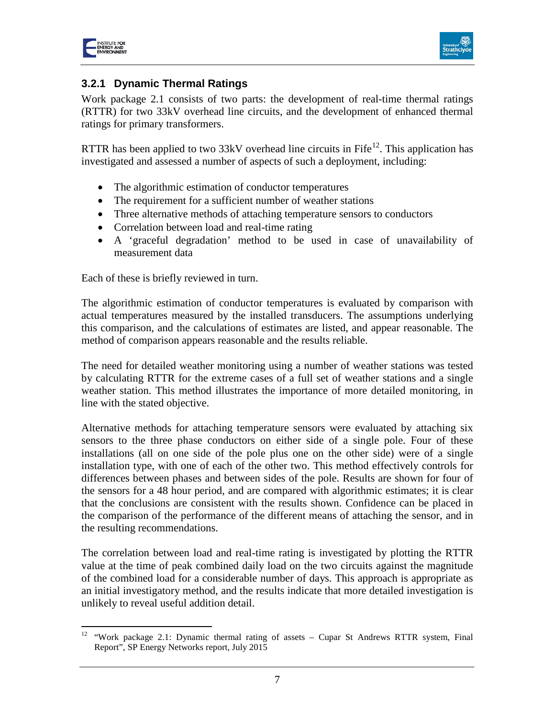



#### **3.2.1 Dynamic Thermal Ratings**

Work package 2.1 consists of two parts: the development of real-time thermal ratings (RTTR) for two 33kV overhead line circuits, and the development of enhanced thermal ratings for primary transformers.

RTTR has been applied to two  $33kV$  overhead line circuits in Fife<sup>12</sup>. This application has investigated and assessed a number of aspects of such a deployment, including:

- The algorithmic estimation of conductor temperatures
- The requirement for a sufficient number of weather stations
- Three alternative methods of attaching temperature sensors to conductors
- Correlation between load and real-time rating
- A 'graceful degradation' method to be used in case of unavailability of measurement data

Each of these is briefly reviewed in turn.

The algorithmic estimation of conductor temperatures is evaluated by comparison with actual temperatures measured by the installed transducers. The assumptions underlying this comparison, and the calculations of estimates are listed, and appear reasonable. The method of comparison appears reasonable and the results reliable.

The need for detailed weather monitoring using a number of weather stations was tested by calculating RTTR for the extreme cases of a full set of weather stations and a single weather station. This method illustrates the importance of more detailed monitoring, in line with the stated objective.

Alternative methods for attaching temperature sensors were evaluated by attaching six sensors to the three phase conductors on either side of a single pole. Four of these installations (all on one side of the pole plus one on the other side) were of a single installation type, with one of each of the other two. This method effectively controls for differences between phases and between sides of the pole. Results are shown for four of the sensors for a 48 hour period, and are compared with algorithmic estimates; it is clear that the conclusions are consistent with the results shown. Confidence can be placed in the comparison of the performance of the different means of attaching the sensor, and in the resulting recommendations.

The correlation between load and real-time rating is investigated by plotting the RTTR value at the time of peak combined daily load on the two circuits against the magnitude of the combined load for a considerable number of days. This approach is appropriate as an initial investigatory method, and the results indicate that more detailed investigation is unlikely to reveal useful addition detail.

<span id="page-7-0"></span><sup>&</sup>lt;sup>12</sup> "Work package 2.1: Dynamic thermal rating of assets – Cupar St Andrews RTTR system, Final Report", SP Energy Networks report, July 2015  $\overline{a}$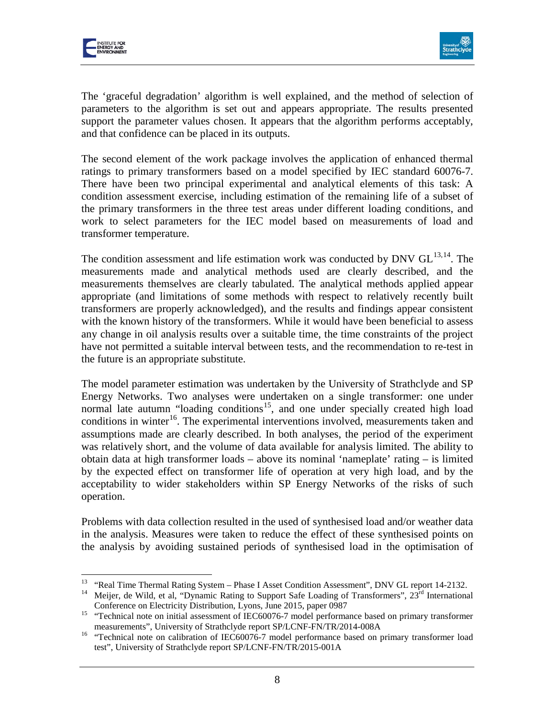



The 'graceful degradation' algorithm is well explained, and the method of selection of parameters to the algorithm is set out and appears appropriate. The results presented support the parameter values chosen. It appears that the algorithm performs acceptably, and that confidence can be placed in its outputs.

The second element of the work package involves the application of enhanced thermal ratings to primary transformers based on a model specified by IEC standard 60076-7. There have been two principal experimental and analytical elements of this task: A condition assessment exercise, including estimation of the remaining life of a subset of the primary transformers in the three test areas under different loading conditions, and work to select parameters for the IEC model based on measurements of load and transformer temperature.

The condition assessment and life estimation work was conducted by DNV  $GL^{13,14}$  $GL^{13,14}$  $GL^{13,14}$  $GL^{13,14}$ . The measurements made and analytical methods used are clearly described, and the measurements themselves are clearly tabulated. The analytical methods applied appear appropriate (and limitations of some methods with respect to relatively recently built transformers are properly acknowledged), and the results and findings appear consistent with the known history of the transformers. While it would have been beneficial to assess any change in oil analysis results over a suitable time, the time constraints of the project have not permitted a suitable interval between tests, and the recommendation to re-test in the future is an appropriate substitute.

The model parameter estimation was undertaken by the University of Strathclyde and SP Energy Networks. Two analyses were undertaken on a single transformer: one under normal late autumn "loading conditions<sup>[15](#page-8-2)</sup>, and one under specially created high load conditions in winter<sup>[16](#page-8-3)</sup>. The experimental interventions involved, measurements taken and assumptions made are clearly described. In both analyses, the period of the experiment was relatively short, and the volume of data available for analysis limited. The ability to obtain data at high transformer loads – above its nominal 'nameplate' rating – is limited by the expected effect on transformer life of operation at very high load, and by the acceptability to wider stakeholders within SP Energy Networks of the risks of such operation.

Problems with data collection resulted in the used of synthesised load and/or weather data in the analysis. Measures were taken to reduce the effect of these synthesised points on the analysis by avoiding sustained periods of synthesised load in the optimisation of

<span id="page-8-0"></span><sup>&</sup>lt;sup>13</sup> "Real Time Thermal Rating System - Phase I Asset Condition Assessment", DNV GL report 14-2132.

<span id="page-8-1"></span><sup>&</sup>lt;sup>14</sup> Meijer, de Wild, et al, "Dynamic Rating to Support Safe Loading of Transformers",  $23<sup>rd</sup>$  International

<span id="page-8-2"></span>Conference on Electricity Distribution, Lyons, June 2015, paper 0987<br>
"Technical note on initial assessment of IEC60076-7 model performance based on primary transformer

<span id="page-8-3"></span>measurements", University of Strathclyde report SP/LCNF-FN/TR/2014-008A <sup>16</sup> "Technical note on calibration of IEC60076-7 model performance based on primary transformer load test", University of Strathclyde report SP/LCNF-FN/TR/2015-001A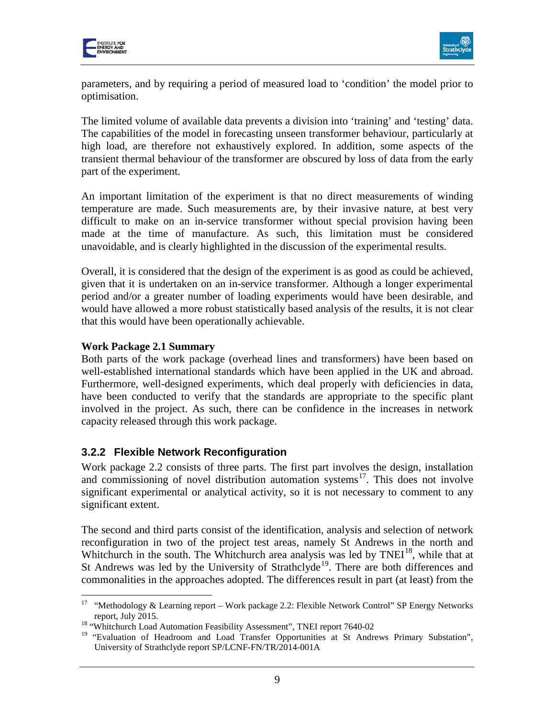



parameters, and by requiring a period of measured load to 'condition' the model prior to optimisation.

The limited volume of available data prevents a division into 'training' and 'testing' data. The capabilities of the model in forecasting unseen transformer behaviour, particularly at high load, are therefore not exhaustively explored. In addition, some aspects of the transient thermal behaviour of the transformer are obscured by loss of data from the early part of the experiment.

An important limitation of the experiment is that no direct measurements of winding temperature are made. Such measurements are, by their invasive nature, at best very difficult to make on an in-service transformer without special provision having been made at the time of manufacture. As such, this limitation must be considered unavoidable, and is clearly highlighted in the discussion of the experimental results.

Overall, it is considered that the design of the experiment is as good as could be achieved, given that it is undertaken on an in-service transformer. Although a longer experimental period and/or a greater number of loading experiments would have been desirable, and would have allowed a more robust statistically based analysis of the results, it is not clear that this would have been operationally achievable.

#### **Work Package 2.1 Summary**

Both parts of the work package (overhead lines and transformers) have been based on well-established international standards which have been applied in the UK and abroad. Furthermore, well-designed experiments, which deal properly with deficiencies in data, have been conducted to verify that the standards are appropriate to the specific plant involved in the project. As such, there can be confidence in the increases in network capacity released through this work package.

#### **3.2.2 Flexible Network Reconfiguration**

Work package 2.2 consists of three parts. The first part involves the design, installation and commissioning of novel distribution automation systems $17$ . This does not involve significant experimental or analytical activity, so it is not necessary to comment to any significant extent.

The second and third parts consist of the identification, analysis and selection of network reconfiguration in two of the project test areas, namely St Andrews in the north and Whitchurch in the south. The Whitchurch area analysis was led by  $TNEI<sup>18</sup>$  $TNEI<sup>18</sup>$  $TNEI<sup>18</sup>$ , while that at St Andrews was led by the University of Strathclyde<sup>19</sup>. There are both differences and commonalities in the approaches adopted. The differences result in part (at least) from the

<span id="page-9-0"></span><sup>17</sup> "Methodology & Learning report – Work package 2.2: Flexible Network Control" SP Energy Networks 17

report, July 2015. <sup>18</sup> "Whitchurch Load Automation Feasibility Assessment", TNEI report 7640-02

<span id="page-9-2"></span><span id="page-9-1"></span><sup>&</sup>lt;sup>19</sup> "Evaluation of Headroom and Load Transfer Opportunities at St Andrews Primary Substation", University of Strathclyde report SP/LCNF-FN/TR/2014-001A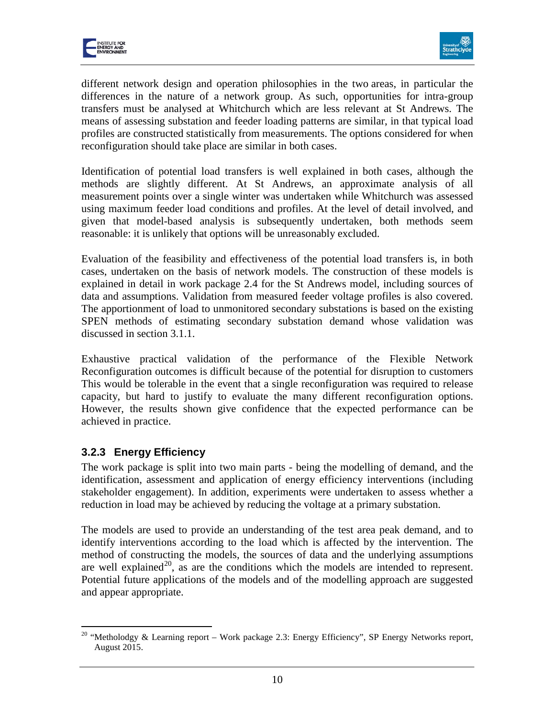



different network design and operation philosophies in the two areas, in particular the differences in the nature of a network group. As such, opportunities for intra-group transfers must be analysed at Whitchurch which are less relevant at St Andrews. The means of assessing substation and feeder loading patterns are similar, in that typical load profiles are constructed statistically from measurements. The options considered for when reconfiguration should take place are similar in both cases.

Identification of potential load transfers is well explained in both cases, although the methods are slightly different. At St Andrews, an approximate analysis of all measurement points over a single winter was undertaken while Whitchurch was assessed using maximum feeder load conditions and profiles. At the level of detail involved, and given that model-based analysis is subsequently undertaken, both methods seem reasonable: it is unlikely that options will be unreasonably excluded.

Evaluation of the feasibility and effectiveness of the potential load transfers is, in both cases, undertaken on the basis of network models. The construction of these models is explained in detail in work package 2.4 for the St Andrews model, including sources of data and assumptions. Validation from measured feeder voltage profiles is also covered. The apportionment of load to unmonitored secondary substations is based on the existing SPEN methods of estimating secondary substation demand whose validation was discussed in section 3.1.1.

Exhaustive practical validation of the performance of the Flexible Network Reconfiguration outcomes is difficult because of the potential for disruption to customers This would be tolerable in the event that a single reconfiguration was required to release capacity, but hard to justify to evaluate the many different reconfiguration options. However, the results shown give confidence that the expected performance can be achieved in practice.

#### **3.2.3 Energy Efficiency**

The work package is split into two main parts - being the modelling of demand, and the identification, assessment and application of energy efficiency interventions (including stakeholder engagement). In addition, experiments were undertaken to assess whether a reduction in load may be achieved by reducing the voltage at a primary substation.

The models are used to provide an understanding of the test area peak demand, and to identify interventions according to the load which is affected by the intervention. The method of constructing the models, the sources of data and the underlying assumptions are well explained<sup>[20](#page-10-0)</sup>, as are the conditions which the models are intended to represent. Potential future applications of the models and of the modelling approach are suggested and appear appropriate.

<span id="page-10-0"></span><sup>&</sup>lt;sup>20</sup> "Metholodgy & Learning report – Work package 2.3: Energy Efficiency", SP Energy Networks report, August 2015.  $\overline{a}$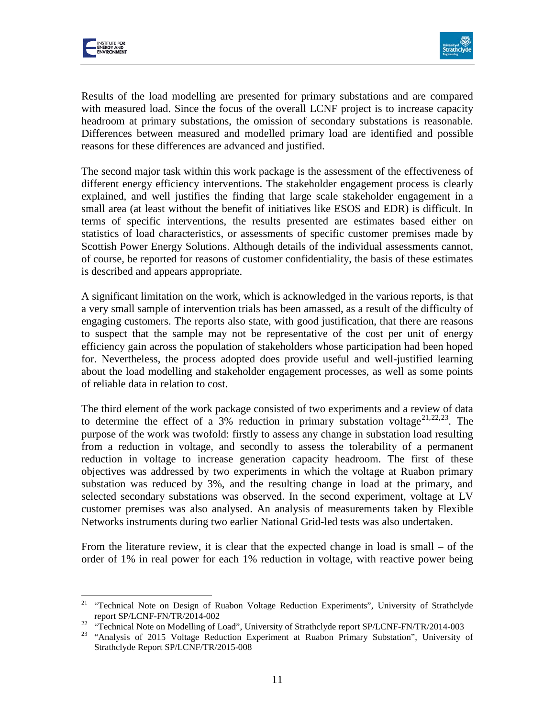



Results of the load modelling are presented for primary substations and are compared with measured load. Since the focus of the overall LCNF project is to increase capacity headroom at primary substations, the omission of secondary substations is reasonable. Differences between measured and modelled primary load are identified and possible reasons for these differences are advanced and justified.

The second major task within this work package is the assessment of the effectiveness of different energy efficiency interventions. The stakeholder engagement process is clearly explained, and well justifies the finding that large scale stakeholder engagement in a small area (at least without the benefit of initiatives like ESOS and EDR) is difficult. In terms of specific interventions, the results presented are estimates based either on statistics of load characteristics, or assessments of specific customer premises made by Scottish Power Energy Solutions. Although details of the individual assessments cannot, of course, be reported for reasons of customer confidentiality, the basis of these estimates is described and appears appropriate.

A significant limitation on the work, which is acknowledged in the various reports, is that a very small sample of intervention trials has been amassed, as a result of the difficulty of engaging customers. The reports also state, with good justification, that there are reasons to suspect that the sample may not be representative of the cost per unit of energy efficiency gain across the population of stakeholders whose participation had been hoped for. Nevertheless, the process adopted does provide useful and well-justified learning about the load modelling and stakeholder engagement processes, as well as some points of reliable data in relation to cost.

The third element of the work package consisted of two experiments and a review of data to determine the effect of a 3% reduction in primary substation voltage<sup>[21,](#page-11-0)[22](#page-11-1),23</sup>. The purpose of the work was twofold: firstly to assess any change in substation load resulting from a reduction in voltage, and secondly to assess the tolerability of a permanent reduction in voltage to increase generation capacity headroom. The first of these objectives was addressed by two experiments in which the voltage at Ruabon primary substation was reduced by 3%, and the resulting change in load at the primary, and selected secondary substations was observed. In the second experiment, voltage at LV customer premises was also analysed. An analysis of measurements taken by Flexible Networks instruments during two earlier National Grid-led tests was also undertaken.

From the literature review, it is clear that the expected change in load is small – of the order of 1% in real power for each 1% reduction in voltage, with reactive power being

<sup>&</sup>lt;sup>21</sup> "Technical Note on Design of Ruabon Voltage Reduction Experiments", University of Strathclyde  $\overline{a}$ 

<span id="page-11-2"></span>

<span id="page-11-1"></span><span id="page-11-0"></span>report SP/LCNF-FN/TR/2014-002<br><sup>22</sup> "Technical Note on Modelling of Load", University of Strathclyde report SP/LCNF-FN/TR/2014-003<br><sup>23</sup> "Analysis of 2015 Voltage Reduction Experiment at Ruabon Primary Substation", Universit Strathclyde Report SP/LCNF/TR/2015-008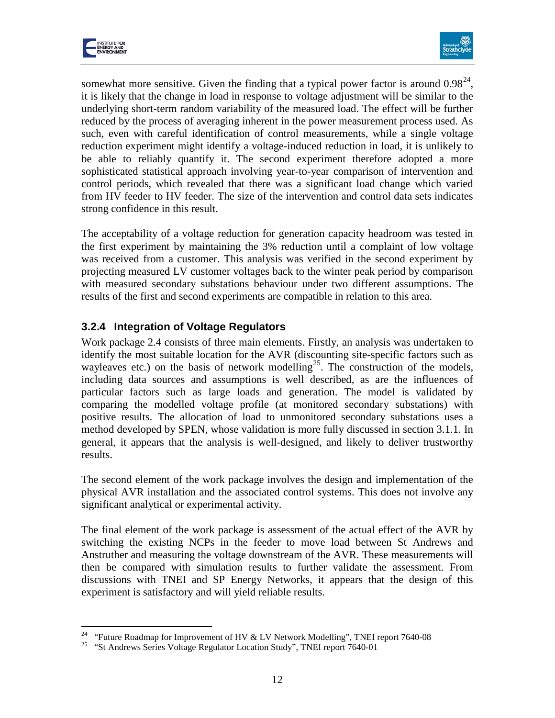

 $\overline{a}$ 



somewhat more sensitive. Given the finding that a typical power factor is around  $0.98^{24}$  $0.98^{24}$  $0.98^{24}$ , it is likely that the change in load in response to voltage adjustment will be similar to the underlying short-term random variability of the measured load. The effect will be further reduced by the process of averaging inherent in the power measurement process used. As such, even with careful identification of control measurements, while a single voltage reduction experiment might identify a voltage-induced reduction in load, it is unlikely to be able to reliably quantify it. The second experiment therefore adopted a more sophisticated statistical approach involving year-to-year comparison of intervention and control periods, which revealed that there was a significant load change which varied from HV feeder to HV feeder. The size of the intervention and control data sets indicates strong confidence in this result.

The acceptability of a voltage reduction for generation capacity headroom was tested in the first experiment by maintaining the 3% reduction until a complaint of low voltage was received from a customer. This analysis was verified in the second experiment by projecting measured LV customer voltages back to the winter peak period by comparison with measured secondary substations behaviour under two different assumptions. The results of the first and second experiments are compatible in relation to this area.

#### **3.2.4 Integration of Voltage Regulators**

Work package 2.4 consists of three main elements. Firstly, an analysis was undertaken to identify the most suitable location for the AVR (discounting site-specific factors such as wayleaves etc.) on the basis of network modelling<sup>25</sup>. The construction of the models, including data sources and assumptions is well described, as are the influences of particular factors such as large loads and generation. The model is validated by comparing the modelled voltage profile (at monitored secondary substations) with positive results. The allocation of load to unmonitored secondary substations uses a method developed by SPEN, whose validation is more fully discussed in section 3.1.1. In general, it appears that the analysis is well-designed, and likely to deliver trustworthy results.

The second element of the work package involves the design and implementation of the physical AVR installation and the associated control systems. This does not involve any significant analytical or experimental activity.

The final element of the work package is assessment of the actual effect of the AVR by switching the existing NCPs in the feeder to move load between St Andrews and Anstruther and measuring the voltage downstream of the AVR. These measurements will then be compared with simulation results to further validate the assessment. From discussions with TNEI and SP Energy Networks, it appears that the design of this experiment is satisfactory and will yield reliable results.

<span id="page-12-1"></span><span id="page-12-0"></span><sup>&</sup>lt;sup>24</sup> "Future Roadmap for Improvement of HV & LV Network Modelling", TNEI report 7640-08<br><sup>25</sup> "St Andrews Series Voltage Regulator Location Study", TNEI report 7640-01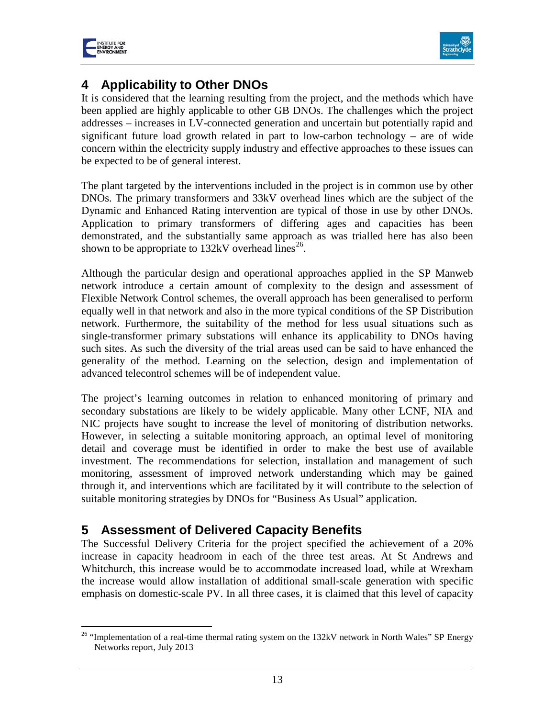



# **4 Applicability to Other DNOs**

It is considered that the learning resulting from the project, and the methods which have been applied are highly applicable to other GB DNOs. The challenges which the project addresses – increases in LV-connected generation and uncertain but potentially rapid and significant future load growth related in part to low-carbon technology – are of wide concern within the electricity supply industry and effective approaches to these issues can be expected to be of general interest.

The plant targeted by the interventions included in the project is in common use by other DNOs. The primary transformers and 33kV overhead lines which are the subject of the Dynamic and Enhanced Rating intervention are typical of those in use by other DNOs. Application to primary transformers of differing ages and capacities has been demonstrated, and the substantially same approach as was trialled here has also been shown to be appropriate to  $132kV$  overhead lines<sup>26</sup>.

Although the particular design and operational approaches applied in the SP Manweb network introduce a certain amount of complexity to the design and assessment of Flexible Network Control schemes, the overall approach has been generalised to perform equally well in that network and also in the more typical conditions of the SP Distribution network. Furthermore, the suitability of the method for less usual situations such as single-transformer primary substations will enhance its applicability to DNOs having such sites. As such the diversity of the trial areas used can be said to have enhanced the generality of the method. Learning on the selection, design and implementation of advanced telecontrol schemes will be of independent value.

The project's learning outcomes in relation to enhanced monitoring of primary and secondary substations are likely to be widely applicable. Many other LCNF, NIA and NIC projects have sought to increase the level of monitoring of distribution networks. However, in selecting a suitable monitoring approach, an optimal level of monitoring detail and coverage must be identified in order to make the best use of available investment. The recommendations for selection, installation and management of such monitoring, assessment of improved network understanding which may be gained through it, and interventions which are facilitated by it will contribute to the selection of suitable monitoring strategies by DNOs for "Business As Usual" application.

# **5 Assessment of Delivered Capacity Benefits**

The Successful Delivery Criteria for the project specified the achievement of a 20% increase in capacity headroom in each of the three test areas. At St Andrews and Whitchurch, this increase would be to accommodate increased load, while at Wrexham the increase would allow installation of additional small-scale generation with specific emphasis on domestic-scale PV. In all three cases, it is claimed that this level of capacity

<span id="page-13-0"></span><sup>&</sup>lt;sup>26</sup> "Implementation of a real-time thermal rating system on the  $132kV$  network in North Wales" SP Energy Networks report, July 2013  $\overline{a}$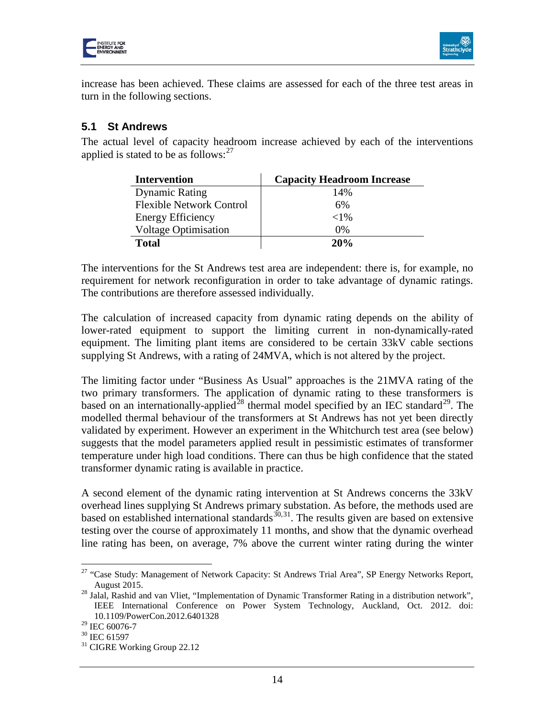



increase has been achieved. These claims are assessed for each of the three test areas in turn in the following sections.

#### **5.1 St Andrews**

The actual level of capacity headroom increase achieved by each of the interventions applied is stated to be as follows:  $27$ 

| <b>Intervention</b>             | <b>Capacity Headroom Increase</b> |
|---------------------------------|-----------------------------------|
| <b>Dynamic Rating</b>           | 14%                               |
| <b>Flexible Network Control</b> | 6%                                |
| <b>Energy Efficiency</b>        | ${<}1\%$                          |
| <b>Voltage Optimisation</b>     | $0\%$                             |
| <b>Total</b>                    | 20%                               |

The interventions for the St Andrews test area are independent: there is, for example, no requirement for network reconfiguration in order to take advantage of dynamic ratings. The contributions are therefore assessed individually.

The calculation of increased capacity from dynamic rating depends on the ability of lower-rated equipment to support the limiting current in non-dynamically-rated equipment. The limiting plant items are considered to be certain 33kV cable sections supplying St Andrews, with a rating of 24MVA, which is not altered by the project.

The limiting factor under "Business As Usual" approaches is the 21MVA rating of the two primary transformers. The application of dynamic rating to these transformers is based on an internationally-applied<sup>[28](#page-14-1)</sup> thermal model specified by an IEC standard<sup>[29](#page-14-2)</sup>. The modelled thermal behaviour of the transformers at St Andrews has not yet been directly validated by experiment. However an experiment in the Whitchurch test area (see below) suggests that the model parameters applied result in pessimistic estimates of transformer temperature under high load conditions. There can thus be high confidence that the stated transformer dynamic rating is available in practice.

A second element of the dynamic rating intervention at St Andrews concerns the 33kV overhead lines supplying St Andrews primary substation. As before, the methods used are based on established international standards  $x^{30,31}$  $x^{30,31}$  $x^{30,31}$ . The results given are based on extensive testing over the course of approximately 11 months, and show that the dynamic overhead line rating has been, on average, 7% above the current winter rating during the winter

<span id="page-14-0"></span><sup>&</sup>lt;sup>27</sup> "Case Study: Management of Network Capacity: St Andrews Trial Area", SP Energy Networks Report, August 2015. <sup>28</sup> Jalal, Rashid and van Vliet, "Implementation of Dynamic Transformer Rating in a distribution network",  $\overline{a}$ 

<span id="page-14-1"></span>IEEE International Conference on Power System Technology, Auckland, Oct. 2012. doi: 10.1109/PowerCon.2012.6401328<br><sup>29</sup> IEC 60076-7

<span id="page-14-4"></span><span id="page-14-3"></span><span id="page-14-2"></span> $\frac{30}{31}$  IEC 61597<br> $\frac{31}{31}$  CIGRE Working Group 22.12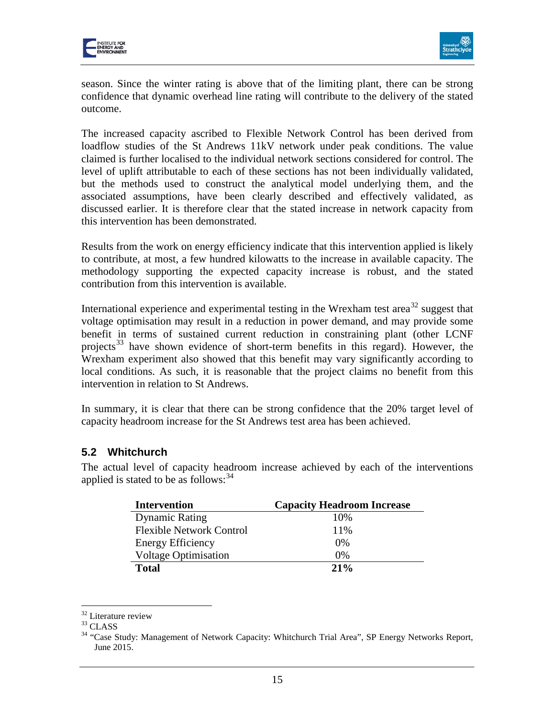



season. Since the winter rating is above that of the limiting plant, there can be strong confidence that dynamic overhead line rating will contribute to the delivery of the stated outcome.

The increased capacity ascribed to Flexible Network Control has been derived from loadflow studies of the St Andrews 11kV network under peak conditions. The value claimed is further localised to the individual network sections considered for control. The level of uplift attributable to each of these sections has not been individually validated, but the methods used to construct the analytical model underlying them, and the associated assumptions, have been clearly described and effectively validated, as discussed earlier. It is therefore clear that the stated increase in network capacity from this intervention has been demonstrated.

Results from the work on energy efficiency indicate that this intervention applied is likely to contribute, at most, a few hundred kilowatts to the increase in available capacity. The methodology supporting the expected capacity increase is robust, and the stated contribution from this intervention is available.

International experience and experimental testing in the Wrexham test area<sup>[32](#page-15-0)</sup> suggest that voltage optimisation may result in a reduction in power demand, and may provide some benefit in terms of sustained current reduction in constraining plant (other LCNF projects<sup>[33](#page-15-1)</sup> have shown evidence of short-term benefits in this regard). However, the Wrexham experiment also showed that this benefit may vary significantly according to local conditions. As such, it is reasonable that the project claims no benefit from this intervention in relation to St Andrews.

In summary, it is clear that there can be strong confidence that the 20% target level of capacity headroom increase for the St Andrews test area has been achieved.

#### **5.2 Whitchurch**

The actual level of capacity headroom increase achieved by each of the interventions applied is stated to be as follows:  $34$ 

| <b>Intervention</b>             | <b>Capacity Headroom Increase</b> |
|---------------------------------|-----------------------------------|
| <b>Dynamic Rating</b>           | 10%                               |
| <b>Flexible Network Control</b> | 11%                               |
| <b>Energy Efficiency</b>        | $0\%$                             |
| <b>Voltage Optimisation</b>     | $0\%$                             |
| <b>Total</b>                    | 21%                               |

 $\overline{a}$ 

<span id="page-15-2"></span>

<span id="page-15-1"></span><span id="page-15-0"></span><sup>&</sup>lt;sup>32</sup> Literature review<br><sup>33</sup> CLASS<br><sup>34</sup> "Case Study: Management of Network Capacity: Whitchurch Trial Area", SP Energy Networks Report, June 2015.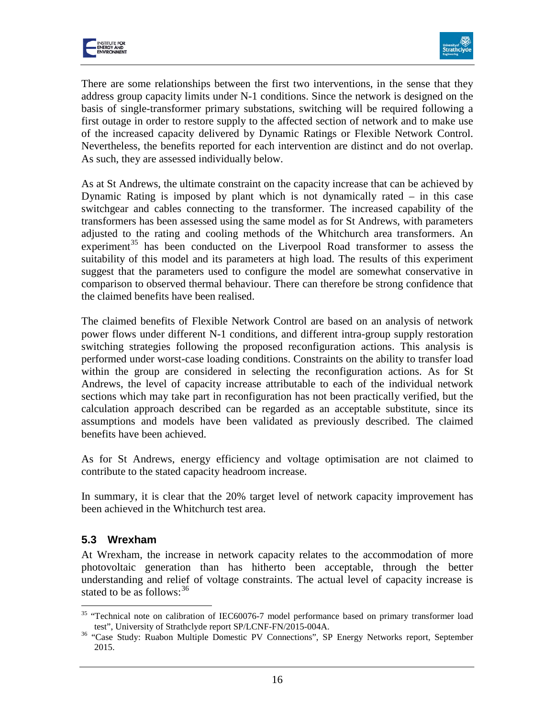



There are some relationships between the first two interventions, in the sense that they address group capacity limits under N-1 conditions. Since the network is designed on the basis of single-transformer primary substations, switching will be required following a first outage in order to restore supply to the affected section of network and to make use of the increased capacity delivered by Dynamic Ratings or Flexible Network Control. Nevertheless, the benefits reported for each intervention are distinct and do not overlap. As such, they are assessed individually below.

As at St Andrews, the ultimate constraint on the capacity increase that can be achieved by Dynamic Rating is imposed by plant which is not dynamically rated – in this case switchgear and cables connecting to the transformer. The increased capability of the transformers has been assessed using the same model as for St Andrews, with parameters adjusted to the rating and cooling methods of the Whitchurch area transformers. An experiment<sup>[35](#page-16-0)</sup> has been conducted on the Liverpool Road transformer to assess the suitability of this model and its parameters at high load. The results of this experiment suggest that the parameters used to configure the model are somewhat conservative in comparison to observed thermal behaviour. There can therefore be strong confidence that the claimed benefits have been realised.

The claimed benefits of Flexible Network Control are based on an analysis of network power flows under different N-1 conditions, and different intra-group supply restoration switching strategies following the proposed reconfiguration actions. This analysis is performed under worst-case loading conditions. Constraints on the ability to transfer load within the group are considered in selecting the reconfiguration actions. As for St Andrews, the level of capacity increase attributable to each of the individual network sections which may take part in reconfiguration has not been practically verified, but the calculation approach described can be regarded as an acceptable substitute, since its assumptions and models have been validated as previously described. The claimed benefits have been achieved.

As for St Andrews, energy efficiency and voltage optimisation are not claimed to contribute to the stated capacity headroom increase.

In summary, it is clear that the 20% target level of network capacity improvement has been achieved in the Whitchurch test area.

#### **5.3 Wrexham**

At Wrexham, the increase in network capacity relates to the accommodation of more photovoltaic generation than has hitherto been acceptable, through the better understanding and relief of voltage constraints. The actual level of capacity increase is stated to be as follows:  $36$ 

<span id="page-16-0"></span><sup>&</sup>lt;sup>35</sup> "Technical note on calibration of IEC60076-7 model performance based on primary transformer load  $\overline{a}$ 

<span id="page-16-1"></span>test", University of Strathclyde report SP/LCNF-FN/2015-004A. <sup>36</sup> "Case Study: Ruabon Multiple Domestic PV Connections", SP Energy Networks report, September 2015.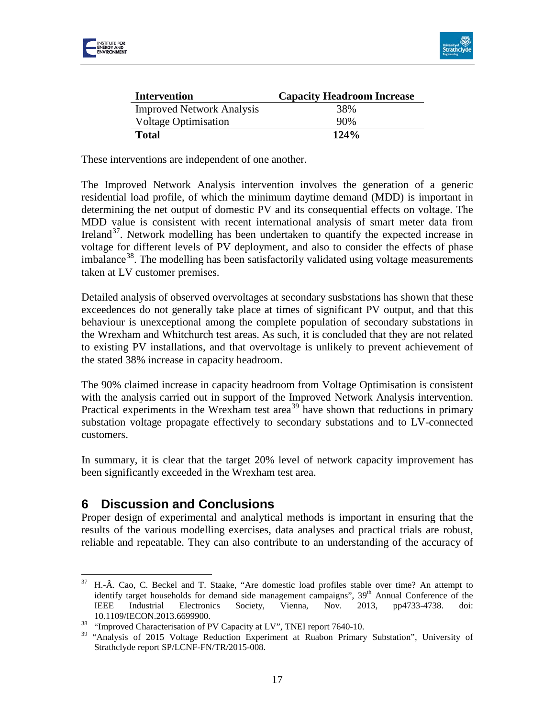



| <b>Intervention</b>              | <b>Capacity Headroom Increase</b> |
|----------------------------------|-----------------------------------|
| <b>Improved Network Analysis</b> | 38%                               |
| <b>Voltage Optimisation</b>      | 90%                               |
| <b>Total</b>                     | 124%                              |

These interventions are independent of one another.

The Improved Network Analysis intervention involves the generation of a generic residential load profile, of which the minimum daytime demand (MDD) is important in determining the net output of domestic PV and its consequential effects on voltage. The MDD value is consistent with recent international analysis of smart meter data from Ireland<sup>[37](#page-17-0)</sup>. Network modelling has been undertaken to quantify the expected increase in voltage for different levels of PV deployment, and also to consider the effects of phase imbalance<sup>38</sup>. The modelling has been satisfactorily validated using voltage measurements taken at LV customer premises.

Detailed analysis of observed overvoltages at secondary susbstations has shown that these exceedences do not generally take place at times of significant PV output, and that this behaviour is unexceptional among the complete population of secondary substations in the Wrexham and Whitchurch test areas. As such, it is concluded that they are not related to existing PV installations, and that overvoltage is unlikely to prevent achievement of the stated 38% increase in capacity headroom.

The 90% claimed increase in capacity headroom from Voltage Optimisation is consistent with the analysis carried out in support of the Improved Network Analysis intervention. Practical experiments in the Wrexham test area<sup>[39](#page-17-2)</sup> have shown that reductions in primary substation voltage propagate effectively to secondary substations and to LV-connected customers.

In summary, it is clear that the target 20% level of network capacity improvement has been significantly exceeded in the Wrexham test area.

# **6 Discussion and Conclusions**

Proper design of experimental and analytical methods is important in ensuring that the results of the various modelling exercises, data analyses and practical trials are robust, reliable and repeatable. They can also contribute to an understanding of the accuracy of

<span id="page-17-0"></span><sup>37</sup> H.-Â. Cao, C. Beckel and T. Staake, "Are domestic load profiles stable over time? An attempt to identify target households for demand side management campaigns",  $39<sup>th</sup>$  Annual Conference of the IEEE Industrial Electronics Society, Vienna, Nov. 2013, pp4733-4738. doi: 37

<span id="page-17-1"></span><sup>10.1109/</sup>IECON.2013.6699900. <sup>38</sup> "Improved Characterisation of PV Capacity at LV", TNEI report 7640-10.

<span id="page-17-2"></span><sup>&</sup>lt;sup>39</sup> "Analysis of 2015 Voltage Reduction Experiment at Ruabon Primary Substation", University of Strathclyde report SP/LCNF-FN/TR/2015-008.